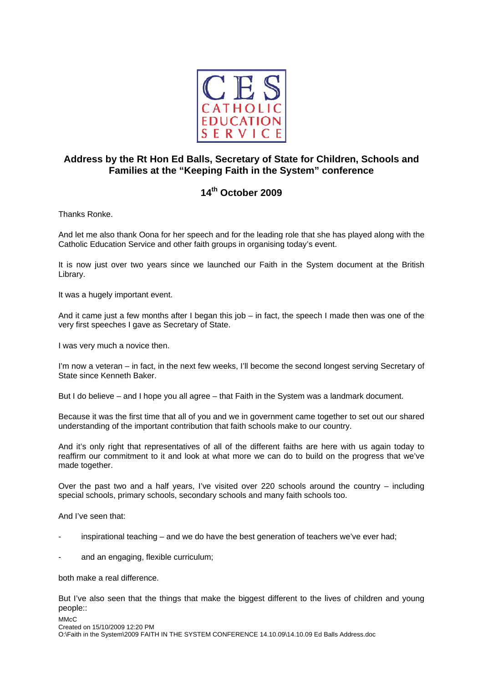

## **Address by the Rt Hon Ed Balls, Secretary of State for Children, Schools and Families at the "Keeping Faith in the System" conference**

## **14th October 2009**

Thanks Ronke.

And let me also thank Oona for her speech and for the leading role that she has played along with the Catholic Education Service and other faith groups in organising today's event.

It is now just over two years since we launched our Faith in the System document at the British Library.

It was a hugely important event.

And it came just a few months after I began this job – in fact, the speech I made then was one of the very first speeches I gave as Secretary of State.

I was very much a novice then.

I'm now a veteran – in fact, in the next few weeks, I'll become the second longest serving Secretary of State since Kenneth Baker.

But I do believe – and I hope you all agree – that Faith in the System was a landmark document.

Because it was the first time that all of you and we in government came together to set out our shared understanding of the important contribution that faith schools make to our country.

And it's only right that representatives of all of the different faiths are here with us again today to reaffirm our commitment to it and look at what more we can do to build on the progress that we've made together.

Over the past two and a half years, I've visited over 220 schools around the country – including special schools, primary schools, secondary schools and many faith schools too.

And I've seen that:

- $\alpha$  inspirational teaching and we do have the best generation of teachers we've ever had;
- and an engaging, flexible curriculum;

both make a real difference.

But I've also seen that the things that make the biggest different to the lives of children and young people::

MM<sub>c</sub>C

Created on 15/10/2009 12:20 PM O:\Faith in the System\2009 FAITH IN THE SYSTEM CONFERENCE 14.10.09\14.10.09 Ed Balls Address.doc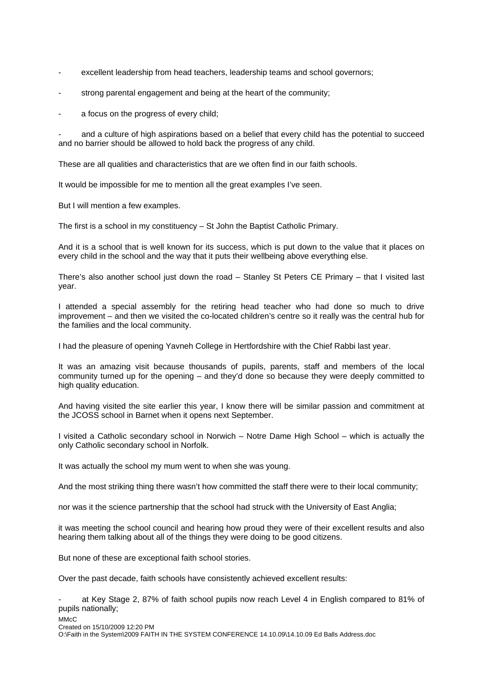- excellent leadership from head teachers, leadership teams and school governors;
- strong parental engagement and being at the heart of the community;
- a focus on the progress of every child;

and a culture of high aspirations based on a belief that every child has the potential to succeed and no barrier should be allowed to hold back the progress of any child.

These are all qualities and characteristics that are we often find in our faith schools.

It would be impossible for me to mention all the great examples I've seen.

But I will mention a few examples.

The first is a school in my constituency – St John the Baptist Catholic Primary.

And it is a school that is well known for its success, which is put down to the value that it places on every child in the school and the way that it puts their wellbeing above everything else.

There's also another school just down the road – Stanley St Peters CE Primary – that I visited last year.

I attended a special assembly for the retiring head teacher who had done so much to drive improvement – and then we visited the co-located children's centre so it really was the central hub for the families and the local community.

I had the pleasure of opening Yavneh College in Hertfordshire with the Chief Rabbi last year.

It was an amazing visit because thousands of pupils, parents, staff and members of the local community turned up for the opening – and they'd done so because they were deeply committed to high quality education.

And having visited the site earlier this year, I know there will be similar passion and commitment at the JCOSS school in Barnet when it opens next September.

I visited a Catholic secondary school in Norwich – Notre Dame High School – which is actually the only Catholic secondary school in Norfolk.

It was actually the school my mum went to when she was young.

And the most striking thing there wasn't how committed the staff there were to their local community;

nor was it the science partnership that the school had struck with the University of East Anglia;

it was meeting the school council and hearing how proud they were of their excellent results and also hearing them talking about all of the things they were doing to be good citizens.

But none of these are exceptional faith school stories.

Over the past decade, faith schools have consistently achieved excellent results:

at Key Stage 2, 87% of faith school pupils now reach Level 4 in English compared to 81% of pupils nationally;

MM<sub>c</sub>C

Created on 15/10/2009 12:20 PM

O:\Faith in the System\2009 FAITH IN THE SYSTEM CONFERENCE 14.10.09\14.10.09 Ed Balls Address.doc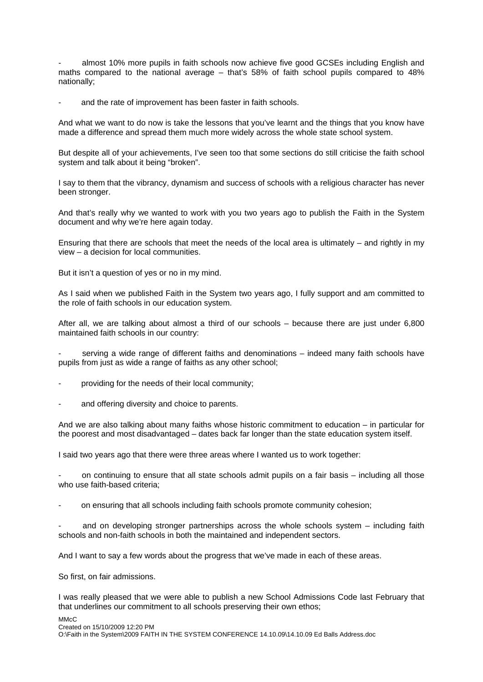almost 10% more pupils in faith schools now achieve five good GCSEs including English and maths compared to the national average – that's 58% of faith school pupils compared to 48% nationally;

and the rate of improvement has been faster in faith schools.

And what we want to do now is take the lessons that you've learnt and the things that you know have made a difference and spread them much more widely across the whole state school system.

But despite all of your achievements, I've seen too that some sections do still criticise the faith school system and talk about it being "broken".

I say to them that the vibrancy, dynamism and success of schools with a religious character has never been stronger.

And that's really why we wanted to work with you two years ago to publish the Faith in the System document and why we're here again today.

Ensuring that there are schools that meet the needs of the local area is ultimately – and rightly in my view – a decision for local communities.

But it isn't a question of yes or no in my mind.

As I said when we published Faith in the System two years ago, I fully support and am committed to the role of faith schools in our education system.

After all, we are talking about almost a third of our schools – because there are just under 6,800 maintained faith schools in our country:

serving a wide range of different faiths and denominations – indeed many faith schools have pupils from just as wide a range of faiths as any other school;

- providing for the needs of their local community;
- and offering diversity and choice to parents.

And we are also talking about many faiths whose historic commitment to education – in particular for the poorest and most disadvantaged – dates back far longer than the state education system itself.

I said two years ago that there were three areas where I wanted us to work together:

on continuing to ensure that all state schools admit pupils on a fair basis – including all those who use faith-based criteria;

on ensuring that all schools including faith schools promote community cohesion;

and on developing stronger partnerships across the whole schools system  $-$  including faith schools and non-faith schools in both the maintained and independent sectors.

And I want to say a few words about the progress that we've made in each of these areas.

So first, on fair admissions.

I was really pleased that we were able to publish a new School Admissions Code last February that that underlines our commitment to all schools preserving their own ethos;

MMcC

Created on 15/10/2009 12:20 PM O:\Faith in the System\2009 FAITH IN THE SYSTEM CONFERENCE 14.10.09\14.10.09 Ed Balls Address.doc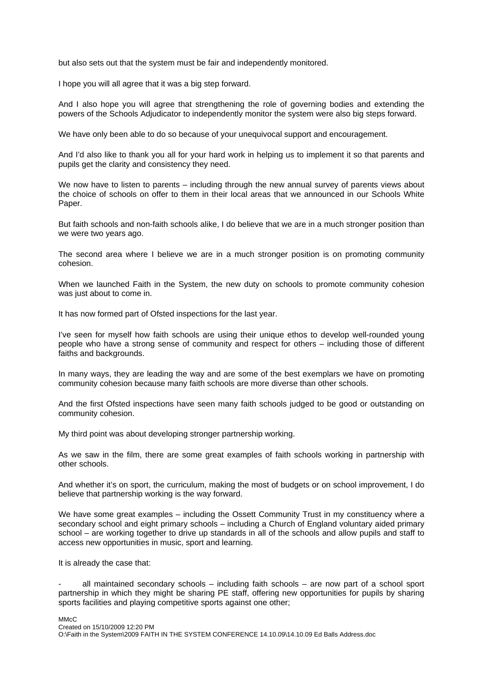but also sets out that the system must be fair and independently monitored.

I hope you will all agree that it was a big step forward.

And I also hope you will agree that strengthening the role of governing bodies and extending the powers of the Schools Adjudicator to independently monitor the system were also big steps forward.

We have only been able to do so because of your unequivocal support and encouragement.

And I'd also like to thank you all for your hard work in helping us to implement it so that parents and pupils get the clarity and consistency they need.

We now have to listen to parents – including through the new annual survey of parents views about the choice of schools on offer to them in their local areas that we announced in our Schools White Paper.

But faith schools and non-faith schools alike, I do believe that we are in a much stronger position than we were two years ago.

The second area where I believe we are in a much stronger position is on promoting community cohesion.

When we launched Faith in the System, the new duty on schools to promote community cohesion was just about to come in.

It has now formed part of Ofsted inspections for the last year.

I've seen for myself how faith schools are using their unique ethos to develop well-rounded young people who have a strong sense of community and respect for others – including those of different faiths and backgrounds.

In many ways, they are leading the way and are some of the best exemplars we have on promoting community cohesion because many faith schools are more diverse than other schools.

And the first Ofsted inspections have seen many faith schools judged to be good or outstanding on community cohesion.

My third point was about developing stronger partnership working.

As we saw in the film, there are some great examples of faith schools working in partnership with other schools.

And whether it's on sport, the curriculum, making the most of budgets or on school improvement, I do believe that partnership working is the way forward.

We have some great examples – including the Ossett Community Trust in my constituency where a secondary school and eight primary schools – including a Church of England voluntary aided primary school – are working together to drive up standards in all of the schools and allow pupils and staff to access new opportunities in music, sport and learning.

It is already the case that:

all maintained secondary schools  $-$  including faith schools  $-$  are now part of a school sport partnership in which they might be sharing PE staff, offering new opportunities for pupils by sharing sports facilities and playing competitive sports against one other;

MMcC Created on 15/10/2009 12:20 PM O:\Faith in the System\2009 FAITH IN THE SYSTEM CONFERENCE 14.10.09\14.10.09 Ed Balls Address.doc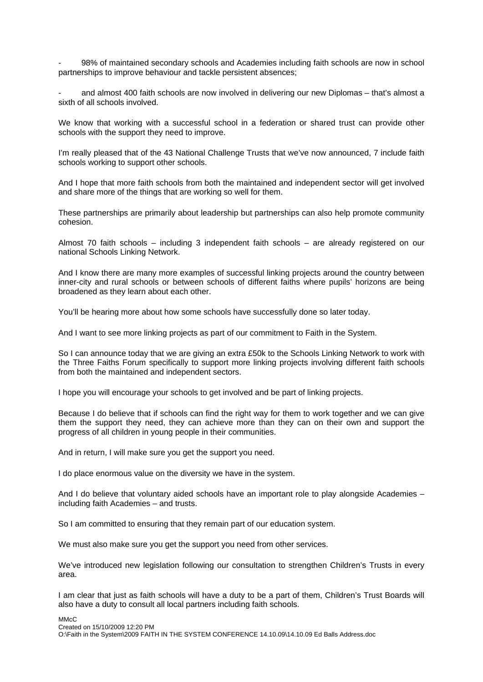98% of maintained secondary schools and Academies including faith schools are now in school partnerships to improve behaviour and tackle persistent absences;

and almost 400 faith schools are now involved in delivering our new Diplomas – that's almost a sixth of all schools involved.

We know that working with a successful school in a federation or shared trust can provide other schools with the support they need to improve.

I'm really pleased that of the 43 National Challenge Trusts that we've now announced, 7 include faith schools working to support other schools.

And I hope that more faith schools from both the maintained and independent sector will get involved and share more of the things that are working so well for them.

These partnerships are primarily about leadership but partnerships can also help promote community cohesion.

Almost 70 faith schools – including 3 independent faith schools – are already registered on our national Schools Linking Network.

And I know there are many more examples of successful linking projects around the country between inner-city and rural schools or between schools of different faiths where pupils' horizons are being broadened as they learn about each other.

You'll be hearing more about how some schools have successfully done so later today.

And I want to see more linking projects as part of our commitment to Faith in the System.

So I can announce today that we are giving an extra £50k to the Schools Linking Network to work with the Three Faiths Forum specifically to support more linking projects involving different faith schools from both the maintained and independent sectors.

I hope you will encourage your schools to get involved and be part of linking projects.

Because I do believe that if schools can find the right way for them to work together and we can give them the support they need, they can achieve more than they can on their own and support the progress of all children in young people in their communities.

And in return, I will make sure you get the support you need.

I do place enormous value on the diversity we have in the system.

And I do believe that voluntary aided schools have an important role to play alongside Academies – including faith Academies – and trusts.

So I am committed to ensuring that they remain part of our education system.

We must also make sure you get the support you need from other services.

We've introduced new legislation following our consultation to strengthen Children's Trusts in every area.

I am clear that just as faith schools will have a duty to be a part of them, Children's Trust Boards will also have a duty to consult all local partners including faith schools.

MMcC

Created on 15/10/2009 12:20 PM O:\Faith in the System\2009 FAITH IN THE SYSTEM CONFERENCE 14.10.09\14.10.09 Ed Balls Address.doc